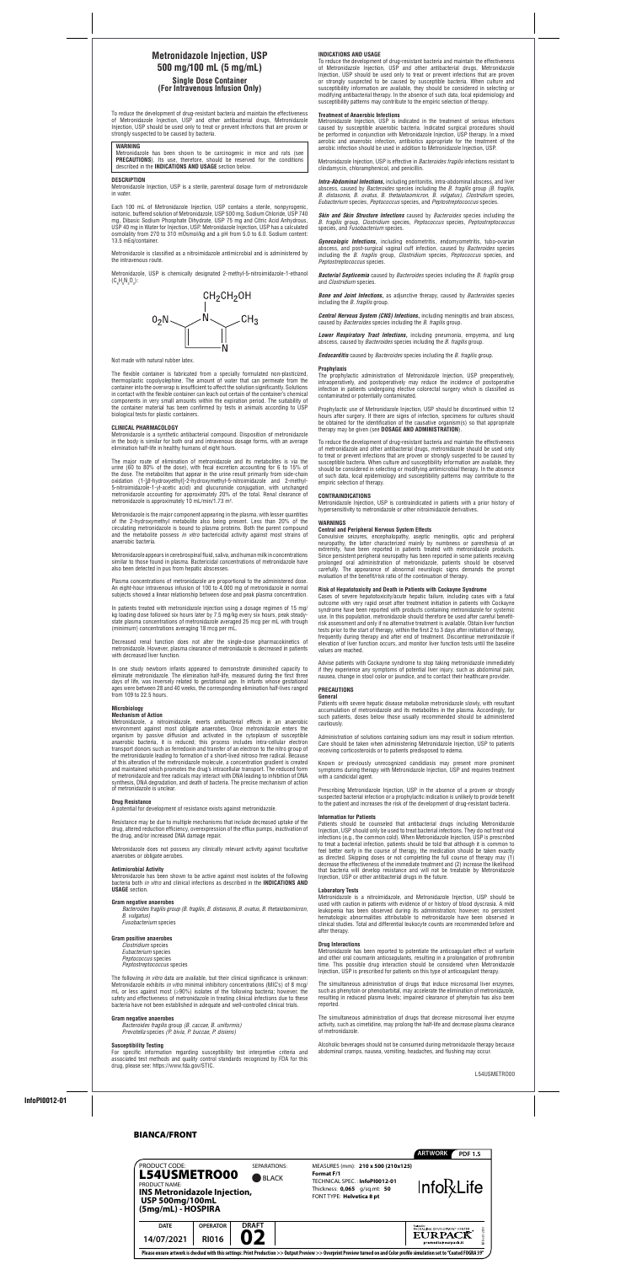## BIANCA/FRONT

| PRODUCT CODE:                                                                                                                               |                 | SEPARATIONS: | MEASURES (mm): 210 x 500 (210x125)                                                                                                                                           | <b>ARTWORK</b><br><b>PDF 1.5</b>                       |  |
|---------------------------------------------------------------------------------------------------------------------------------------------|-----------------|--------------|------------------------------------------------------------------------------------------------------------------------------------------------------------------------------|--------------------------------------------------------|--|
| <b>L54USMETRO00</b><br><b>BLACK</b><br><b>PRODUCT NAME:</b><br>INS Metronidazole Injection,<br><b>USP 500mg/100mL</b><br>(5mg/mL) - HOSPIRA |                 |              | <b>Format F/1</b><br>TECHNICAL SPEC.: InfoPI0012-01<br>Thickness: 0,065 g/sq.mt: 50<br>FONT TYPE: Helvetica 8 pt                                                             | <b>Info</b> <sub>R</sub> Life                          |  |
| <b>DATE</b>                                                                                                                                 | <b>OPERATOR</b> | <b>DRAFT</b> |                                                                                                                                                                              | <b>PACKAGING DEVELOPMENT CENTER </b><br><b>EURPACK</b> |  |
| 14/07/2021                                                                                                                                  | <b>RI016</b>    | 07           |                                                                                                                                                                              | VFO-v.01-2019<br>premedia@eurpack.it                   |  |
|                                                                                                                                             |                 |              | Please ensure artwork is checked with this settings: Print Production >> Output Preview >> Overprint Preview turned on and Color profile simulation set to "Coated FOGRA 39" |                                                        |  |

Metronidazole, USP is chemically designated 2-methyl-5-nitroimidazole-1-ethanol  $(C_6H_9N_3O_3)$ :



# **Metronidazole Injection, USP 500 mg/100 mL (5 mg/mL) Single Dose Container (For Intravenous Infusion Only)**

To reduce the development of drug-resistant bacteria and maintain the effectiveness of Metronidazole Injection, USP and other antibacterial drugs, Metronidazole Injection, USP should be used only to treat or prevent infections that are proven or strongly suspected to be caused by bacteria.

## **WARNING**

The major route of elimination of metronidazole and its metabolites is via the urine (60 to 80% of the dose), with fecal excretion accounting for 6 to 15% of the dose. The metabolites that appear in the urine result primarily from side-chain oxidation (1-[*β*-hydroxyethyl]-2-hydroxymethyl-5-nitroimidazole and 2-methyl-5-nitroimidazole-1-yl-acetic acid) and glucuronide conjugation, with unchanged metronidazole accounting for approximately 20% of the total. Renal clearance of metronidazole is approximately 10 mL/min/1.73 m<sup>2</sup>.

Metronidazole has been shown to be carcinogenic in mice and rats (see **PRECAUTIONS**). Its use, therefore, should be reserved for the conditions described in the **INDICATIONS AND USAGE** section below.

### **DESCRIPTION**

Metronidazole Injection, USP is a sterile, parenteral dosage form of metronidazole in water.

Each 100 mL of Metronidazole Injection, USP contains a sterile, nonpyrogenic, isotonic, buffered solution of Metronidazole, USP 500 mg, Sodium Chloride, USP 740 mg, Dibasic Sodium Phosphate Dihydrate, USP 75 mg and Citric Acid Anhydrous, USP 40 mg in Water for Injection, USP. Metronidazole Injection, USP has a calculated osmolality from 270 to 310 mOsmol/kg and a pH from 5.0 to 6.0. Sodium content: 13.5 mEq/container.

Metronidazole appears in cerebrospinal fluid, saliva, and human milk in concentrations<br>Similar to those found in plasma. Bactericidal concentrations of metronidazole have similar to those found in plasma. Bactericidal concentrations of metronidazole have also been detected in pus from hepatic abscesses.

aiso been detected in pus from nepatic abscesses.<br>Plasma concentrations of metronidazole are proportional to the administered dose. An eight-hour intravenous infusion of 100 to 4,000 mg of metronidazole in normal subjects showed a linear relationship between dose and peak plasma concentration.

Metronidazole is classified as a nitroimidazole antimicrobial and is administered by the intravenous route.

Not made with natural rubber latex.

The flexible container is fabricated from a specially formulated non-plasticized, thermoplastic copolyolephine. The amount of water that can permeate from the container into the overwrap is insufficient to affect the solution significantly. Solutions in contact with the flexible container can leach out certain of the container's chemical components in very small amounts within the expiration period. The suitability of the container material has been confirmed by tests in animals according to USP biological tests for plastic containers.

### **CLINICAL PHARMACOLOGY**

Metronidazole is a synthetic antibacterial compound. Disposition of metronidazole in the body is similar for both oral and intravenous dosage forms, with an average elimination half-life in healthy humans of eight hours.

Metronidazole is the major component appearing in the plasma, with lesser quantities of the 2-hydroxymethyl metabolite also being present. Less than 20% of the circulating metronidazole is bound to plasma proteins. Both the parent compound and the metabolite possess *in vitro* bactericidal activity against most strains of anaerobic bacteria.

In patients treated with metronidazole injection using a dosage regimen of 15 mg/ kg loading dose followed six hours later by 7.5 mg/kg every six hours, peak steadystate plasma concentrations of metronidazole averaged 25 mcg per mL with trough (minimum) concentrations averaging 18 mcg per mL.

Decreased renal function does not alter the single-dose pharmacokinetics of metronidazole. However, plasma clearance of metronidazole is decreased in patients with decreased liver function.

In one study newborn infants appeared to demonstrate diminished capacity to eliminate metronidazole. The elimination half-life, measured during the first three days of life, was inversely related to gestational age. In infants whose gestational ages were between 28 and 40 weeks, the corresponding elimination half-lives ranged from 109 to 22.5 hours.

## **Microbiology**

## **Mechanism of Action**

Metronidazole, a nitroimidazole, exerts antibacterial effects in an anaerobic environment against most obligate anaerobes. Once metronidazole enters the organism by passive diffusion and activated in the cytoplasm of susceptible anaerobic bacteria, it is reduced; this process includes intra-cellular electron transport donors such as ferredoxin and transfer of an electron to the nitro group of the metronidazole leading to formation of a short-lived nitroso free radical. Because of this alteration of the metronidazole molecule, a concentration gradient is created and maintained which promotes the drug's intracellular transport. The reduced form of metronidazole and free radicals may interact with DNA leading to inhibition of DNA synthesis, DNA degradation, and death of bacteria. The precise mechanism of action of metronidazole is unclear.

extremity, have been reported in patients treated with metronidazole products.<br>Since persistent peripheral neuropathy has been reported in some patients receiving<br>prolonged arel administration of metronidazole, patients, s carefully. The appearance of abnormal neurologic signs de<br>evaluation of the benefit/risk ratio of the continuation of therapy.<br>. Convulsive seizures, encephalopathy, aseptic meningitis, optic and peripheral neuropathy, the latter characterized mainly by numbness or paresthesia of an Since persistent peripheral neuropathy has been reported in some patients receiving prolonged oral administration of metronidazole, patients should be observed carefully. The appearance of abnormal neurologic signs demands the prompt

## **Drug Resistance**

A potential for development of resistance exists against metronidazole.

Resistance may be due to multiple mechanisms that include decreased uptake of the drug, altered reduction efficiency, overexpression of the efflux pumps, inactivation of the drug, and/or increased DNA damage repair.

Metronidazole does not possess any clinically relevant activity against facultative anaerobes or obligate aerobes.

## **Antimicrobial Activity**

Metronidazole has been shown to be active against most isolates of the following bacteria both *in vitro* and clinical infections as described in the **INDICATIONS AND USAGE** section.

## **Gram negative anaerobes**

*Bacteroides fragilis group (B. fragilis*, *B. distasonis*, *B. ovatus*, *B. thetaiotaomicron*, *B. vulgatus) Fusobacterium* species

## **Gram positive anaerobes**

*Clostridium* species *Eubacterium* species *Peptococcus* species *Peptostreptococcus* species

The following *in vitro* data are available, but their clinical significance is unknown: Metronidazole exhibits *in vitro* minimal inhibitory concentrations (MIC's) of 8 mcg/ mL or less against most (≥90%) isolates of the following bacteria; however, the safety and effectiveness of metronidazole in treating clinical infections due to these bacteria have not been established in adequate and well-controlled clinical trials.

## **Gram negative anaerobes**

*Bacteroides fragilis* group *(B. caccae, B. uniformis) Prevotella* species *(P. bivia, P. buccae, P. disiens)*

## **Susceptibility Testing**

For specific information regarding susceptibility test interpretive criteria and associated test methods and quality control standards recognized by FDA for this drug, please see: https://www.fda.gov/STIC.

### **INDICATIONS AND USAGE**

To reduce the development of drug-resistant bacteria and maintain the effectiveness of Metronidazole Injection, USP and other antibacterial drugs, Metronidazole Injection, USP should be used only to treat or prevent infections that are proven or strongly suspected to be caused by susceptible bacteria. When culture and susceptibility information are available, they should be considered in selecting or modifying antibacterial therapy. In the absence of such data, local epidemiology and susceptibility patterns may contribute to the empiric selection of therapy.

## **Treatment of Anaerobic Infections**

Metronidazole Injection, USP is indicated in the treatment of serious infections caused by susceptible anaerobic bacteria. Indicated surgical procedures should be performed in conjunction with Metronidazole Injection, USP therapy. In a mixed aerobic and anaerobic infection, antibiotics appropriate for the treatment of the aerobic infection should be used in addition to Metronidazole Injection, USP.

Metronidazole Injection, USP is effective in *Bacteroides fragilis* infections resistant to clindamycin, chloramphenicol, and penicillin.

*Intra-Abdominal Infections,* including peritonitis, intra-abdominal abscess, and liver abscess, caused by *Bacteroides* species including the *B. fragilis* group *(B. fragilis*, *B. distasonis*, *B. ovatus*, *B. thetaiotaomicron*, *B. vulgatus)*, *Clostridium* species, *Eubacterium* species, *Peptococcus* species, and *Peptostreptococcus* species.

*Skin and Skin Structure Infections* caused by *Bacteroides* species including the *B. fragilis* group, *Clostridium* species, *Peptococcus* species, *Peptostreptococcus*  species, and *Fusobacterium* species.

*Gynecologic Infections,* including endometritis, endomyometritis, tubo-ovarian abscess, and post-surgical vaginal cuff infection, caused by *Bacteroides* species including the *B. fragilis* group, *Clostridium* species, *Peptococcus* species, and *Peptostreptococcus* species.

*Bacterial Septicemia* caused by *Bacteroides* species including the *B. fragilis* group and *Clostridium* species.

*Bone and Joint Infections,* as adjunctive therapy, caused by *Bacteroides* species including the *B. fragilis* group.

*Central Nervous System (CNS) Infections,* including meningitis and brain abscess, caused by *Bacteroides* species including the *B. fragilis* group.

*Lower Respiratory Tract Infections,* including pneumonia, empyema, and lung abscess, caused by *Bacteroides* species including the *B. fragilis* group.

*Endocarditis* caused by *Bacteroides* species including the *B. fragilis* group.

### **Prophylaxis**

The prophylactic administration of Metronidazole Injection, USP preoperatively, intraoperatively, and postoperatively may reduce the incidence of postoperative infection in patients undergoing elective colorectal surgery which is classified as contaminated or potentially contaminated.

Prophylactic use of Metronidazole Injection, USP should be discontinued within 12 hours after surgery. If there are signs of infection, specimens for cultures should be obtained for the identification of the causative organism(s) so that appropriate therapy may be given (see **DOSAGE AND ADMINISTRATION**).

To reduce the development of drug-resistant bacteria and maintain the effectiveness of metronidazole and other antibacterial drugs, metronidazole should be used only to treat or prevent infections that are proven or strongly suspected to be caused by susceptible bacteria. When culture and susceptibility information are available, they should be considered in selecting or modifying antimicrobial therapy. In the absence of such data, local epidemiology and susceptibility patterns may contribute to the empiric selection of therapy.

## **CONTRAINDICATIONS**

Metronidazole Injection, USP is contraindicated in patients with a prior history of hypersensitivity to metronidazole or other nitroimidazole derivatives.

## **WARNINGS**

## **Central and Peripheral Nervous System Effects**

## **Risk of Hepatotoxicity and Death in Patients with Cockayne Syndrome**

Cases of severe hepatotoxicity/acute hepatic failure, including cases with a fatal outcome with very rapid onset after treatment initiation in patients with Cockayne syndrome have been reported with products containing metronidazole for systemic use. In this population, metronidazole should therefore be used after careful benefitrisk assessment and only if no alternative treatment is available. Obtain liver function tests prior to the start of therapy, within the first 2 to 3 days after initiation of therapy, frequently during therapy and after end of treatment. Discontinue metronidazole if elevation of liver function occurs, and monitor liver function tests until the baseline values are reached.

Advise patients with Cockayne syndrome to stop taking metronidazole immediately

if they experience any symptoms of potential liver injury, such as abdominal pain, nausea, change in stool color or jaundice, and to contact their healthcare provider.

## **PRECAUTIONS General**

Patients with severe hepatic disease metabolize metronidazole slowly, with resultant accumulation of metronidazole and its metabolites in the plasma. Accordingly, for such patients, doses below those usually recommended should be administered cautiously.

Administration of solutions containing sodium ions may result in sodium retention. Care should be taken when administering Metronidazole Injection, USP to patients receiving corticosteroids or to patients predisposed to edema.

Known or previously unrecognized candidiasis may present more prominent symptoms during therapy with Metronidazole Injection, USP and requires treatment with a candicidal agent.

Prescribing Metronidazole Injection, USP in the absence of a proven or strongly suspected bacterial infection or a prophylactic indication is unlikely to provide benefit to the patient and increases the risk of the development of drug-resistant bacteria.

## **Information for Patients**

Patients should be counseled that antibacterial drugs including Metronidazole Injection, USP should only be used to treat bacterial infections. They do not treat viral infections (e.g., the common cold). When Metronidazole Injection, USP is prescribed to treat a bacterial infection, patients should be told that although it is common to feel better early in the course of therapy, the medication should be taken exactly as directed. Skipping doses or not completing the full course of therapy may (1) decrease the effectiveness of the immediate treatment and (2) increase the likelihood that bacteria will develop resistance and will not be treatable by Metronidazole Injection, USP or other antibacterial drugs in the future.

## **Laboratory Tests**

Metronidazole is a nitroimidazole, and Metronidazole Injection, USP should be used with caution in patients with evidence of or history of blood dyscrasia. A mild leukopenia has been observed during its administration; however, no persistent hematologic abnormalities attributable to metronidazole have been observed in clinical studies. Total and differential leukocyte counts are recommended before and after therapy.

## **Drug Interactions**

Metronidazole has been reported to potentiate the anticoagulant effect of warfarin and other oral coumarin anticoagulants, resulting in a prolongation of prothrombin time. This possible drug interaction should be considered when Metronidazole Injection, USP is prescribed for patients on this type of anticoagulant therapy.

The simultaneous administration of drugs that induce microsomal liver enzymes, such as phenytoin or phenobarbital, may accelerate the elimination of metronidazole, resulting in reduced plasma levels; impaired clearance of phenytoin has also been reported.

The simultaneous administration of drugs that decrease microsomal liver enzyme activity, such as cimetidine, may prolong the half-life and decrease plasma clearance of metronidazole.

Alcoholic beverages should not be consumed during metronidazole therapy because abdominal cramps, nausea, vomiting, headaches, and flushing may occur.

L54USMETRO00

**InfoPI0012-01**